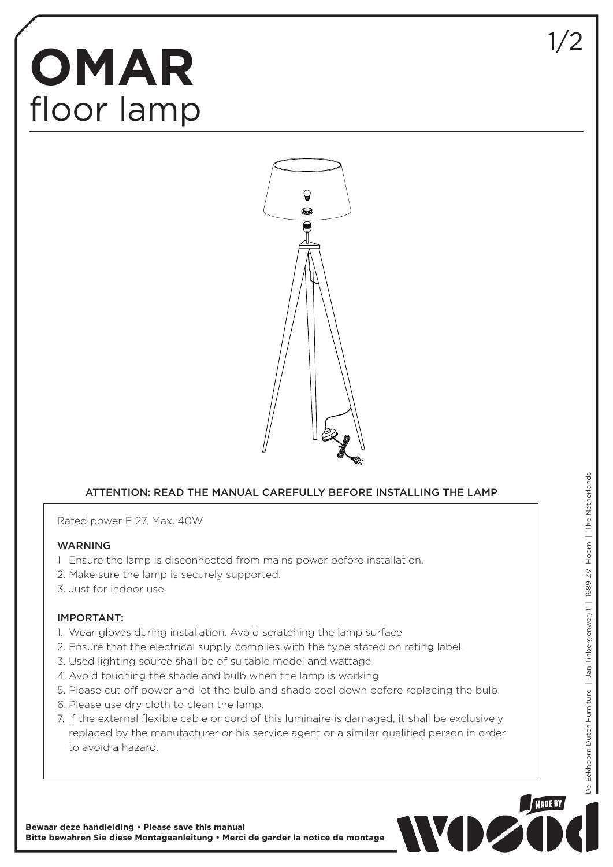## **OMAR** floor lamp



## ATTENTION: READ THE MANUAL CAREFULLY BEFORE INSTALLING THE LAMP

Rated power E 27, Max. 40W

## WARNING

- 1 Ensure the lamp is disconnected from mains power before installation.
- 2. Make sure the lamp is securely supported.
- 3. Just for indoor use.

## IMPORTANT:

- 1. Wear gloves during installation. Avoid scratching the lamp surface
- 2. Ensure that the electrical supply complies with the type stated on rating label.
- 3. Used lighting source shall be of suitable model and wattage
- 4. Avoid touching the shade and bulb when the lamp is working
- 5. Please cut off power and let the bulb and shade cool down before replacing the bulb.
- 6. Please use dry cloth to clean the lamp.
- 7. If the external flexible cable or cord of this luminaire is damaged, it shall be exclusively replaced by the manufacturer or his service agent or a similar qualified person in order to avoid a hazard.